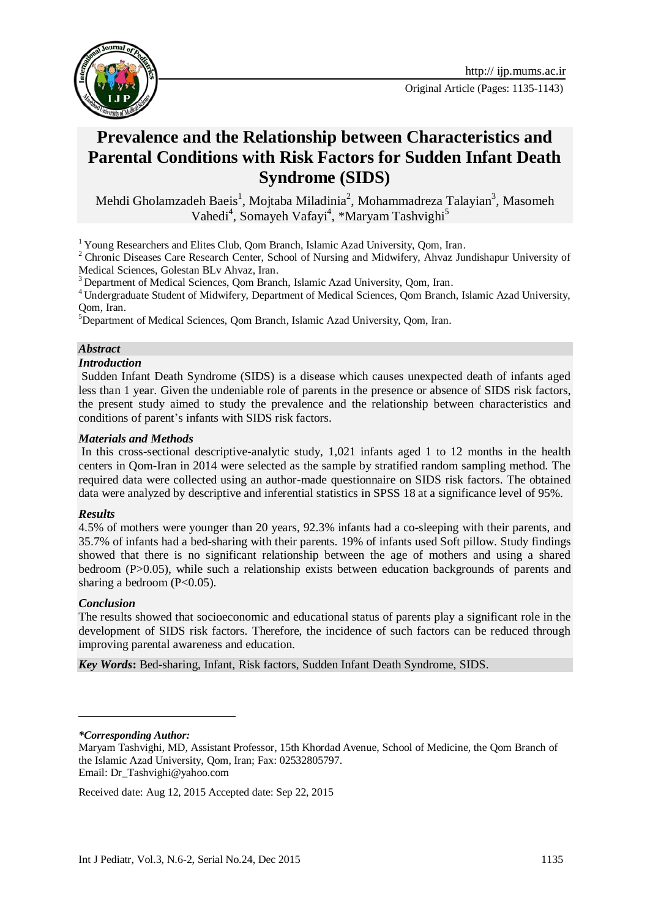



# **Prevalence and the Relationship between Characteristics and Parental Conditions with Risk Factors for Sudden Infant Death Syndrome (SIDS)**

Mehdi Gholamzadeh Baeis<sup>1</sup>, Mojtaba Miladinia<sup>2</sup>, Mohammadreza Talayian<sup>3</sup>, Masomeh Vahedi<sup>4</sup>, Somayeh Vafayi<sup>4</sup>, \*Maryam Tashvighi<sup>5</sup>

<sup>1</sup> Young Researchers and Elites Club, Oom Branch, Islamic Azad University, Oom, Iran.

<sup>2</sup> Chronic Diseases Care Research Center, School of Nursing and Midwifery, Ahvaz Jundishapur University of Medical Sciences, Golestan BLv Ahvaz, Iran.

<sup>3</sup> Department of Medical Sciences, Oom Branch, Islamic Azad University, Oom, Iran.

<sup>4</sup> Undergraduate Student of Midwifery, Department of Medical Sciences, Qom Branch, Islamic Azad University, Qom, Iran.

<sup>5</sup>Department of Medical Sciences, Qom Branch, Islamic Azad University, Qom, Iran.

#### *Abstract*

#### *Introduction*

Sudden Infant Death Syndrome (SIDS) is a disease which causes unexpected death of infants aged less than 1 year. Given the undeniable role of parents in the presence or absence of SIDS risk factors, the present study aimed to study the prevalence and the relationship between characteristics and conditions of parent's infants with SIDS risk factors.

#### *Materials and Methods*

In this cross-sectional descriptive-analytic study, 1,021 infants aged 1 to 12 months in the health centers in Qom-Iran in 2014 were selected as the sample by stratified random sampling method. The required data were collected using an author-made questionnaire on SIDS risk factors. The obtained data were analyzed by descriptive and inferential statistics in SPSS 18 at a significance level of 95%.

#### *Results*

4.5% of mothers were younger than 20 years, 92.3% infants had a co-sleeping with their parents, and 35.7% of infants had a bed-sharing with their parents. 19% of infants used Soft pillow. Study findings showed that there is no significant relationship between the age of mothers and using a shared bedroom (P>0.05), while such a relationship exists between education backgrounds of parents and sharing a bedroom  $(P<0.05)$ .

#### *Conclusion*

-

The results showed that socioeconomic and educational status of parents play a significant role in the development of SIDS risk factors. Therefore, the incidence of such factors can be reduced through improving parental awareness and education.

*Key Words***:** Bed-sharing, Infant, [Risk factors,](http://ijp.mums.ac.ir/?_action=article&kw=2005&_kw=Risk+factors) [Sudden Infant Death Syndrome,](http://ijp.mums.ac.ir/?_action=article&kw=16374&_kw=Sudden+Infant+Death+Syndrome) [SIDS.](http://ijp.mums.ac.ir/?_action=article&kw=15693&_kw=SIDS)

*\*Corresponding Author:* 

Received date: Aug 12, 2015 Accepted date: Sep 22, 2015

Maryam Tashvighi, MD, Assistant Professor, 15th Khordad Avenue, School of Medicine, the Qom Branch of the Islamic Azad University, Qom, Iran; Fax: 02532805797. Email: [Dr\\_Tashvighi@yahoo.com](mailto:Dr_Tashvighi@yahoo.com)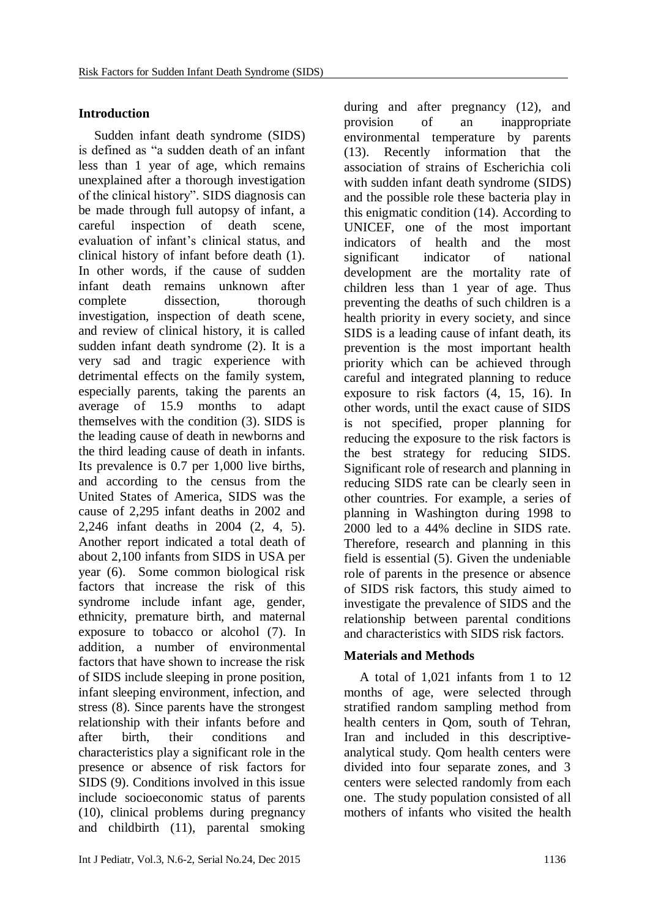### **Introduction**

Sudden infant death syndrome (SIDS) is defined as "a sudden death of an infant less than 1 year of age, which remains unexplained after a thorough investigation of the clinical history". SIDS diagnosis can be made through full autopsy of infant, a careful inspection of death scene, evaluation of infant's clinical status, and clinical history of infant before death (1). In other words, if the cause of sudden infant death remains unknown after complete dissection, thorough investigation, inspection of death scene, and review of clinical history, it is called sudden infant death syndrome (2). It is a very sad and tragic experience with detrimental effects on the family system, especially parents, taking the parents an average of 15.9 months to adapt themselves with the condition (3). SIDS is the leading cause of death in newborns and the third leading cause of death in infants. Its prevalence is 0.7 per 1,000 live births, and according to the census from the United States of America, SIDS was the cause of 2,295 infant deaths in 2002 and 2,246 infant deaths in 2004 (2, 4, 5). Another report indicated a total death of about 2,100 infants from SIDS in USA per year (6). Some common biological risk factors that increase the risk of this syndrome include infant age, gender, ethnicity, premature birth, and maternal exposure to tobacco or alcohol (7). In addition, a number of environmental factors that have shown to increase the risk of SIDS include sleeping in prone position, infant sleeping environment, infection, and stress (8). Since parents have the strongest relationship with their infants before and after birth, their conditions and characteristics play a significant role in the presence or absence of risk factors for SIDS (9). Conditions involved in this issue include socioeconomic status of parents (10), clinical problems during pregnancy and childbirth (11), parental smoking

Int J Pediatr, Vol.3, N.6-2, Serial No.24, Dec 2015 1136

during and after pregnancy (12), and provision of an inappropriate environmental temperature by parents (13). Recently information that the association of strains of Escherichia coli with sudden infant death syndrome (SIDS) and the possible role these bacteria play in this enigmatic condition (14). According to UNICEF, one of the most important indicators of health and the most significant indicator of national development are the mortality rate of children less than 1 year of age. Thus preventing the deaths of such children is a health priority in every society, and since SIDS is a leading cause of infant death, its prevention is the most important health priority which can be achieved through careful and integrated planning to reduce exposure to risk factors (4, 15, 16). In other words, until the exact cause of SIDS is not specified, proper planning for reducing the exposure to the risk factors is the best strategy for reducing SIDS. Significant role of research and planning in reducing SIDS rate can be clearly seen in other countries. For example, a series of planning in Washington during 1998 to 2000 led to a 44% decline in SIDS rate. Therefore, research and planning in this field is essential (5). Given the undeniable role of parents in the presence or absence of SIDS risk factors, this study aimed to investigate the prevalence of SIDS and the relationship between parental conditions and characteristics with SIDS risk factors.

#### **Materials and Methods**

A total of 1,021 infants from 1 to 12 months of age, were selected through stratified random sampling method from health centers in Qom, south of Tehran, Iran and included in this descriptiveanalytical study. Qom health centers were divided into four separate zones, and 3 centers were selected randomly from each one. The study population consisted of all mothers of infants who visited the health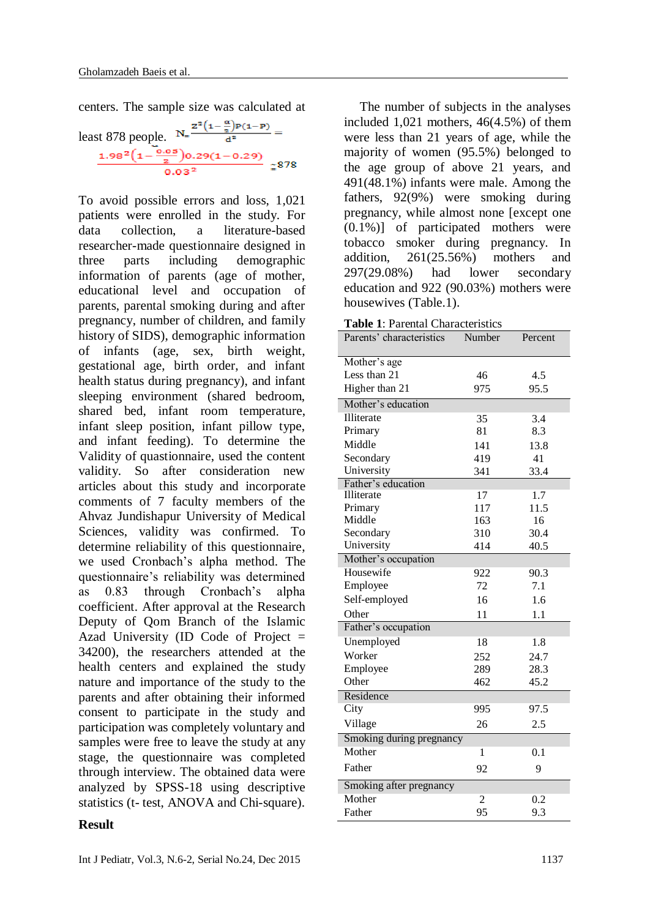centers. The sample size was calculated at

least 878 people.  $N = \frac{z^2 (1 - \frac{\alpha}{2}) p(1-p)}{d^2} =$ <br> $\frac{1.98^2 (1 - \frac{0.05}{2}) 0.29 (1 - 0.29)}{0.03^2} = 878$ 

To avoid possible errors and loss, 1,021 patients were enrolled in the study. For data collection, a literature-based researcher-made questionnaire designed in three parts including demographic information of parents (age of mother, educational level and occupation of parents, parental smoking during and after pregnancy, number of children, and family history of SIDS), demographic information of infants (age, sex, birth weight, gestational age, birth order, and infant health status during pregnancy), and infant sleeping environment (shared bedroom, shared bed, infant room temperature, infant sleep position, infant pillow type, and infant feeding). To determine the Validity of quastionnaire, used the content validity. So after consideration new articles about this study and incorporate comments of 7 faculty members of the Ahvaz Jundishapur University of Medical Sciences, validity was confirmed. To determine reliability of this questionnaire, we used Cronbach's alpha method. The questionnaire's reliability was determined as 0.83 through Cronbach's alpha coefficient. After approval at the Research Deputy of Qom Branch of the Islamic Azad University (ID Code of Project = 34200), the researchers attended at the health centers and explained the study nature and importance of the study to the parents and after obtaining their informed consent to participate in the study and participation was completely voluntary and samples were free to leave the study at any stage, the questionnaire was completed through interview. The obtained data were analyzed by SPSS-18 using descriptive statistics (t- test, ANOVA and Chi-square).

#### **Result**

The number of subjects in the analyses included 1,021 mothers, 46(4.5%) of them were less than 21 years of age, while the majority of women (95.5%) belonged to the age group of above 21 years, and 491(48.1%) infants were male. Among the fathers, 92(9%) were smoking during pregnancy, while almost none [except one (0.1%)] of participated mothers were tobacco smoker during pregnancy. In addition, 261(25.56%) mothers and 297(29.08%) had lower secondary education and 922 (90.03%) mothers were housewives (Table.1).

|  | <b>Table 1: Parental Characteristics</b> |
|--|------------------------------------------|
|--|------------------------------------------|

| Parents' characteristics     | Number | Percent      |  |  |
|------------------------------|--------|--------------|--|--|
|                              |        |              |  |  |
| Mother's age<br>Less than 21 | 46     |              |  |  |
| Higher than 21               | 975    | 4.5          |  |  |
|                              |        | 95.5         |  |  |
| Mother's education           |        |              |  |  |
| Illiterate                   | 35     | 3.4          |  |  |
| Primary                      | 81     | 8.3          |  |  |
| Middle                       | 141    | 13.8         |  |  |
| Secondary                    | 419    | 41           |  |  |
| University                   | 341    | 33.4         |  |  |
| Father's education           |        |              |  |  |
| Illiterate                   | 17     | 1.7          |  |  |
| Primary                      | 117    | 11.5         |  |  |
| Middle                       | 163    | 16           |  |  |
| Secondary<br>University      | 310    | 30.4<br>40.5 |  |  |
|                              | 414    |              |  |  |
| Mother's occupation          |        |              |  |  |
| Housewife                    | 922    | 90.3         |  |  |
| Employee                     | 72     | 7.1          |  |  |
| Self-employed                | 16     | 1.6          |  |  |
| Other                        | 11     | 1.1          |  |  |
| Father's occupation          |        |              |  |  |
| Unemployed                   | 18     | 1.8          |  |  |
| Worker                       | 252    | 24.7         |  |  |
| Employee                     | 289    | 28.3         |  |  |
| Other                        | 462    | 45.2         |  |  |
| Residence                    |        |              |  |  |
| City                         | 995    | 97.5         |  |  |
| Village                      | 26     | 2.5          |  |  |
| Smoking during pregnancy     |        |              |  |  |
| Mother                       | 1      | 0.1          |  |  |
| Father                       | 92     | 9            |  |  |
| Smoking after pregnancy      |        |              |  |  |
| Mother                       | 2      | 0.2          |  |  |
| Father                       | 95     | 9.3          |  |  |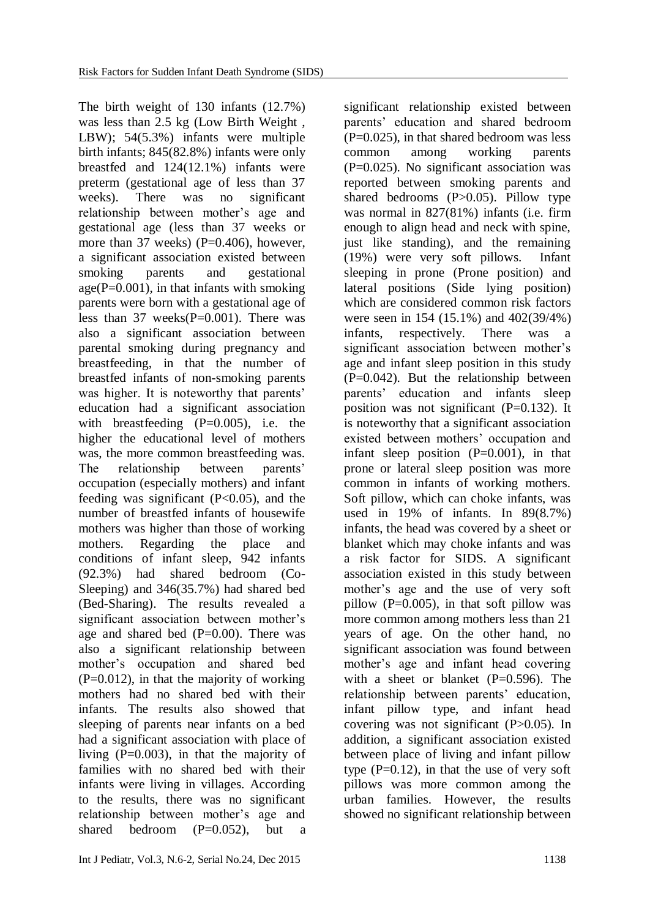The birth weight of 130 infants (12.7%) was less than 2.5 kg (Low Birth Weight , LBW); 54(5.3%) infants were multiple birth infants; 845(82.8%) infants were only breastfed and 124(12.1%) infants were preterm (gestational age of less than 37 weeks). There was no significant relationship between mother's age and gestational age (less than 37 weeks or more than 37 weeks)  $(P=0.406)$ , however, a significant association existed between smoking parents and gestational  $age(P=0.001)$ , in that infants with smoking parents were born with a gestational age of less than  $37$  weeks(P=0.001). There was also a significant association between parental smoking during pregnancy and breastfeeding, in that the number of breastfed infants of non-smoking parents was higher. It is noteworthy that parents' education had a significant association with breastfeeding (P=0.005), i.e. the higher the educational level of mothers was, the more common breastfeeding was. The relationship between parents' occupation (especially mothers) and infant feeding was significant (P<0.05), and the number of breastfed infants of housewife mothers was higher than those of working mothers. Regarding the place and conditions of infant sleep, 942 infants (92.3%) had shared bedroom (Co-Sleeping) and 346(35.7%) had shared bed (Bed-Sharing). The results revealed a significant association between mother's age and shared bed  $(P=0.00)$ . There was also a significant relationship between mother's occupation and shared bed  $(P=0.012)$ , in that the majority of working mothers had no shared bed with their infants. The results also showed that sleeping of parents near infants on a bed had a significant association with place of living (P=0.003), in that the majority of families with no shared bed with their infants were living in villages. According to the results, there was no significant relationship between mother's age and shared bedroom  $(P=0.052)$ , but a

significant relationship existed between parents' education and shared bedroom  $(P=0.025)$ , in that shared bedroom was less common among working parents  $(P=0.025)$ . No significant association was reported between smoking parents and shared bedrooms  $(P>0.05)$ . Pillow type was normal in 827(81%) infants (i.e. firm enough to align head and neck with spine, just like standing), and the remaining (19%) were very soft pillows. Infant sleeping in prone (Prone position) and lateral positions (Side lying position) which are considered common risk factors were seen in 154 (15.1%) and 402(39/4%) infants, respectively. There was a significant association between mother's age and infant sleep position in this study  $(P=0.042)$ . But the relationship between parents' education and infants sleep position was not significant (P=0.132). It is noteworthy that a significant association existed between mothers' occupation and infant sleep position  $(P=0.001)$ , in that prone or lateral sleep position was more common in infants of working mothers. Soft pillow, which can choke infants, was used in 19% of infants. In 89(8.7%) infants, the head was covered by a sheet or blanket which may choke infants and was a risk factor for SIDS. A significant association existed in this study between mother's age and the use of very soft pillow  $(P=0.005)$ , in that soft pillow was more common among mothers less than 21 years of age. On the other hand, no significant association was found between mother's age and infant head covering with a sheet or blanket  $(P=0.596)$ . The relationship between parents' education, infant pillow type, and infant head covering was not significant (P>0.05). In addition, a significant association existed between place of living and infant pillow type  $(P=0.12)$ , in that the use of very soft pillows was more common among the urban families. However, the results showed no significant relationship between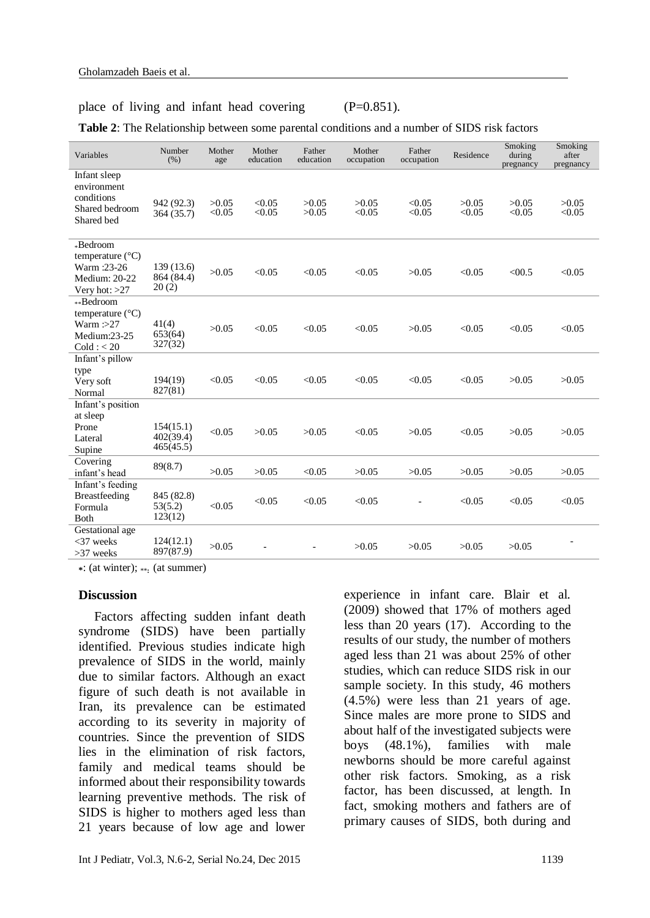#### place of living and infant head covering (P=0.851).

**Table 2**: The Relationship between some parental conditions and a number of SIDS risk factors

| Variables                                                                               | Number<br>(% )                      | Mother<br>age   | Mother<br>education | Father<br>education | Mother<br>occupation | Father<br>occupation | Residence       | Smoking<br>during<br>pregnancy | Smoking<br>after<br>pregnancy |
|-----------------------------------------------------------------------------------------|-------------------------------------|-----------------|---------------------|---------------------|----------------------|----------------------|-----------------|--------------------------------|-------------------------------|
| Infant sleep<br>environment<br>conditions<br>Shared bedroom<br>Shared bed               | 942 (92.3)<br>364 (35.7)            | >0.05<br>< 0.05 | < 0.05<br>< 0.05    | >0.05<br>>0.05      | >0.05<br>< 0.05      | < 0.05<br>< 0.05     | >0.05<br>< 0.05 | >0.05<br>< 0.05                | >0.05<br>< 0.05               |
| *Bedroom<br>temperature $(^{\circ}C)$<br>Warm:23-26<br>Medium: 20-22<br>Very hot: $>27$ | 139 (13.6)<br>864 (84.4)<br>20(2)   | >0.05           | < 0.05              | < 0.05              | < 0.05               | >0.05                | < 0.05          | < 00.5                         | < 0.05                        |
| **Bedroom<br>temperature (°C)<br>Warm $: >27$<br>Medium:23-25<br>Cold: < 20             | 41(4)<br>653(64)<br>327(32)         | >0.05           | < 0.05              | < 0.05              | < 0.05               | >0.05                | < 0.05          | < 0.05                         | < 0.05                        |
| Infant's pillow<br>type<br>Very soft<br>Normal                                          | 194(19)<br>827(81)                  | < 0.05          | < 0.05              | < 0.05              | < 0.05               | < 0.05               | < 0.05          | >0.05                          | >0.05                         |
| Infant's position<br>at sleep<br>Prone<br>Lateral<br>Supine                             | 154(15.1)<br>402(39.4)<br>465(45.5) | < 0.05          | >0.05               | >0.05               | < 0.05               | >0.05                | < 0.05          | >0.05                          | >0.05                         |
| Covering<br>infant's head                                                               | 89(8.7)                             | >0.05           | >0.05               | < 0.05              | >0.05                | >0.05                | >0.05           | >0.05                          | >0.05                         |
| Infant's feeding<br>Breastfeeding<br>Formula<br>Both                                    | 845 (82.8)<br>53(5.2)<br>123(12)    | < 0.05          | < 0.05              | < 0.05              | < 0.05               |                      | < 0.05          | < 0.05                         | < 0.05                        |
| Gestational age<br>$<$ 37 weeks<br>$>37$ weeks                                          | 124(12.1)<br>897(87.9)              | >0.05           |                     |                     | >0.05                | >0.05                | >0.05           | >0.05                          |                               |

**\***: (at winter); \*\***:** (at summer)

#### **Discussion**

Factors affecting sudden infant death syndrome (SIDS) have been partially identified. Previous studies indicate high prevalence of SIDS in the world, mainly due to similar factors. Although an exact figure of such death is not available in Iran, its prevalence can be estimated according to its severity in majority of countries. Since the prevention of SIDS lies in the elimination of risk factors, family and medical teams should be informed about their responsibility towards learning preventive methods. The risk of SIDS is higher to mothers aged less than 21 years because of low age and lower

experience in infant care. Blair et al. (2009) showed that 17% of mothers aged less than 20 years (17). According to the results of our study, the number of mothers aged less than 21 was about 25% of other studies, which can reduce SIDS risk in our sample society. In this study, 46 mothers (4.5%) were less than 21 years of age. Since males are more prone to SIDS and about half of the investigated subjects were boys (48.1%), families with male newborns should be more careful against other risk factors. Smoking, as a risk factor, has been discussed, at length. In fact, smoking mothers and fathers are of primary causes of SIDS, both during and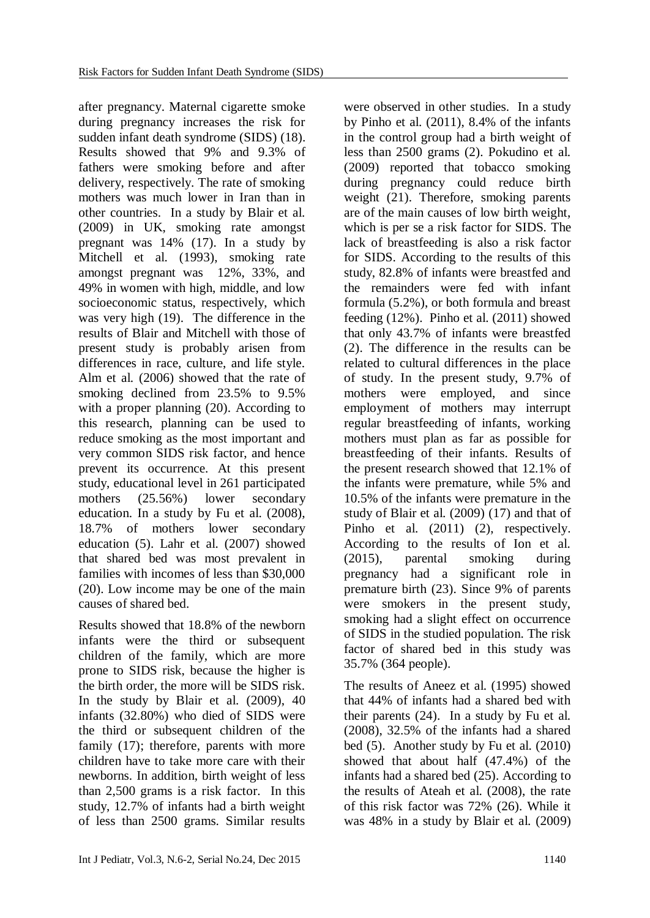after pregnancy. Maternal cigarette smoke during pregnancy increases the risk for sudden infant death syndrome (SIDS) (18). Results showed that 9% and 9.3% of fathers were smoking before and after delivery, respectively. The rate of smoking mothers was much lower in Iran than in other countries. In a study by Blair et al. (2009) in UK, smoking rate amongst pregnant was 14% (17). In a study by Mitchell et al. (1993), smoking rate amongst pregnant was 12%, 33%, and 49% in women with high, middle, and low socioeconomic status, respectively, which was very high (19). The difference in the results of Blair and Mitchell with those of present study is probably arisen from differences in race, culture, and life style. Alm et al. (2006) showed that the rate of smoking declined from 23.5% to 9.5% with a proper planning (20). According to this research, planning can be used to reduce smoking as the most important and very common SIDS risk factor, and hence prevent its occurrence. At this present study, educational level in 261 participated mothers (25.56%) lower secondary education. In a study by Fu et al. (2008), 18.7% of mothers lower secondary education (5). Lahr et al. (2007) showed that shared bed was most prevalent in families with incomes of less than \$30,000 (20). Low income may be one of the main causes of shared bed.

Results showed that 18.8% of the newborn infants were the third or subsequent children of the family, which are more prone to SIDS risk, because the higher is the birth order, the more will be SIDS risk. In the study by Blair et al. (2009), 40 infants (32.80%) who died of SIDS were the third or subsequent children of the family (17); therefore, parents with more children have to take more care with their newborns. In addition, birth weight of less than 2,500 grams is a risk factor. In this study, 12.7% of infants had a birth weight of less than 2500 grams. Similar results

were observed in other studies. In a study by Pinho et al. (2011), 8.4% of the infants in the control group had a birth weight of less than 2500 grams (2). Pokudino et al. (2009) reported that tobacco smoking during pregnancy could reduce birth weight (21). Therefore, smoking parents are of the main causes of low birth weight, which is per se a risk factor for SIDS. The lack of breastfeeding is also a risk factor for SIDS. According to the results of this study, 82.8% of infants were breastfed and the remainders were fed with infant formula (5.2%), or both formula and breast feeding (12%). Pinho et al. (2011) showed that only 43.7% of infants were breastfed (2). The difference in the results can be related to cultural differences in the place of study. In the present study, 9.7% of mothers were employed, and since employment of mothers may interrupt regular breastfeeding of infants, working mothers must plan as far as possible for breastfeeding of their infants. Results of the present research showed that 12.1% of the infants were premature, while 5% and 10.5% of the infants were premature in the study of Blair et al. (2009) (17) and that of Pinho et al. (2011) (2), respectively. According to the results of Ion et al. (2015), parental smoking during pregnancy had a significant role in premature birth (23). Since 9% of parents were smokers in the present study, smoking had a slight effect on occurrence of SIDS in the studied population. The risk factor of shared bed in this study was 35.7% (364 people).

The results of Aneez et al. (1995) showed that 44% of infants had a shared bed with their parents (24). In a study by Fu et al. (2008), 32.5% of the infants had a shared bed (5). Another study by Fu et al. (2010) showed that about half (47.4%) of the infants had a shared bed (25). According to the results of Ateah et al. (2008), the rate of this risk factor was 72% (26). While it was 48% in a study by Blair et al. (2009)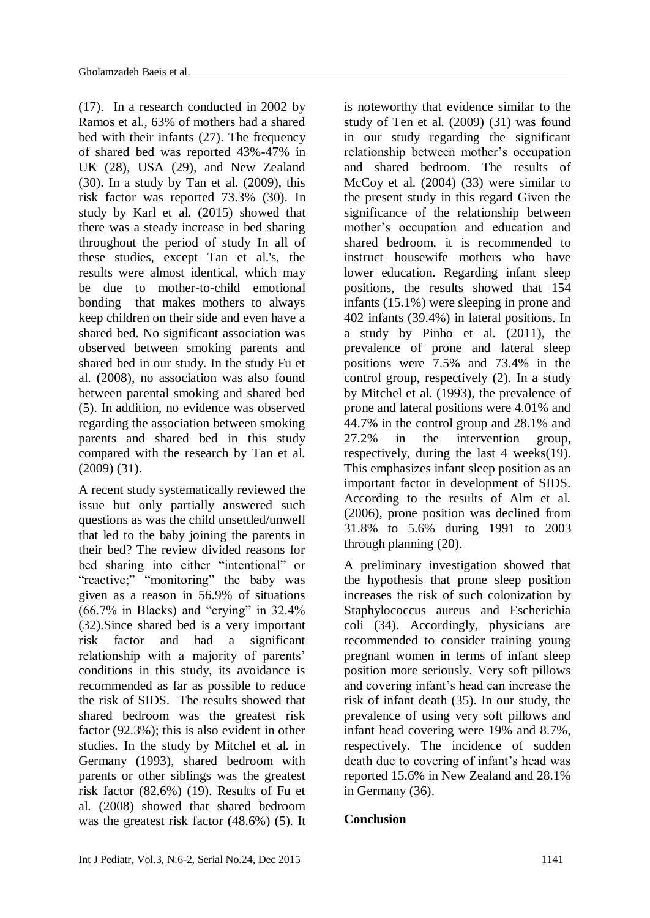(17). In a research conducted in 2002 by Ramos et al., 63% of mothers had a shared bed with their infants (27). The frequency of shared bed was reported 43%-47% in UK (28), USA (29), and New Zealand (30). In a study by Tan et al. (2009), this risk factor was reported 73.3% (30). In study by Karl et al. (2015) showed that there was a steady increase in bed sharing throughout the period of study In all of these studies, except Tan et al.'s, the results were almost identical, which may be due to mother-to-child emotional bonding that makes mothers to always keep children on their side and even have a shared bed. No significant association was observed between smoking parents and shared bed in our study. In the study Fu et al. (2008), no association was also found between parental smoking and shared bed (5). In addition, no evidence was observed regarding the association between smoking parents and shared bed in this study compared with the research by Tan et al. (2009) (31).

A recent study systematically reviewed the issue but only partially answered such questions as was the child unsettled/unwell that led to the baby joining the parents in their bed? The review divided reasons for bed sharing into either "intentional" or "reactive;" ""monitoring" the baby was given as a reason in 56.9% of situations (66.7% in Blacks) and "crying" in 32.4% (32).Since shared bed is a very important risk factor and had a significant relationship with a majority of parents' conditions in this study, its avoidance is recommended as far as possible to reduce the risk of SIDS. The results showed that shared bedroom was the greatest risk factor (92.3%); this is also evident in other studies. In the study by Mitchel et al. in Germany (1993), shared bedroom with parents or other siblings was the greatest risk factor (82.6%) (19). Results of Fu et al. (2008) showed that shared bedroom was the greatest risk factor (48.6%) (5). It

is noteworthy that evidence similar to the study of Ten et al. (2009) (31) was found in our study regarding the significant relationship between mother's occupation and shared bedroom. The results of McCoy et al. (2004) (33) were similar to the present study in this regard Given the significance of the relationship between mother's occupation and education and shared bedroom, it is recommended to instruct housewife mothers who have lower education. Regarding infant sleep positions, the results showed that 154 infants (15.1%) were sleeping in prone and 402 infants (39.4%) in lateral positions. In a study by Pinho et al. (2011), the prevalence of prone and lateral sleep positions were 7.5% and 73.4% in the control group, respectively (2). In a study by Mitchel et al. (1993), the prevalence of prone and lateral positions were 4.01% and 44.7% in the control group and 28.1% and 27.2% in the intervention group, respectively, during the last 4 weeks(19). This emphasizes infant sleep position as an important factor in development of SIDS. According to the results of Alm et al. (2006), prone position was declined from 31.8% to 5.6% during 1991 to 2003 through planning (20).

A preliminary investigation showed that the hypothesis that prone sleep position increases the risk of such colonization by Staphylococcus aureus and Escherichia coli (34). Accordingly, physicians are recommended to consider training young pregnant women in terms of infant sleep position more seriously. Very soft pillows and covering infant's head can increase the risk of infant death (35). In our study, the prevalence of using very soft pillows and infant head covering were 19% and 8.7%, respectively. The incidence of sudden death due to covering of infant's head was reported 15.6% in New Zealand and 28.1% in Germany (36).

# **Conclusion**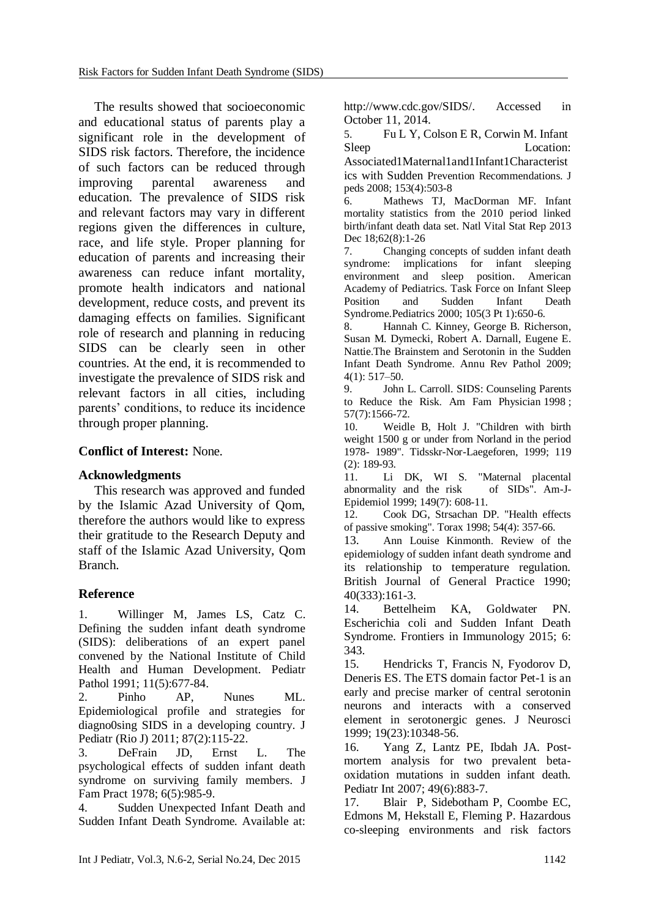The results showed that socioeconomic and educational status of parents play a significant role in the development of SIDS risk factors. Therefore, the incidence of such factors can be reduced through improving parental awareness and education. The prevalence of SIDS risk and relevant factors may vary in different regions given the differences in culture, race, and life style. Proper planning for education of parents and increasing their awareness can reduce infant mortality, promote health indicators and national development, reduce costs, and prevent its damaging effects on families. Significant role of research and planning in reducing SIDS can be clearly seen in other countries. At the end, it is recommended to investigate the prevalence of SIDS risk and relevant factors in all cities, including parents' conditions, to reduce its incidence through proper planning.

# **Conflict of Interest:** None.

# **Acknowledgments**

This research was approved and funded by the Islamic Azad University of Qom, therefore the authors would like to express their gratitude to the Research Deputy and staff of the Islamic Azad University, Qom Branch.

# **Reference**

1. [Willinger M,](http://www.ncbi.nlm.nih.gov/pubmed?term=Willinger%20M%5BAuthor%5D&cauthor=true&cauthor_uid=1745639) [James LS,](http://www.ncbi.nlm.nih.gov/pubmed?term=James%20LS%5BAuthor%5D&cauthor=true&cauthor_uid=1745639) [Catz C.](http://www.ncbi.nlm.nih.gov/pubmed?term=Catz%20C%5BAuthor%5D&cauthor=true&cauthor_uid=1745639) Defining the sudden infant death syndrome (SIDS): deliberations of an expert panel convened by the National Institute of Child Health and Human Development. [Pediatr](http://www.ncbi.nlm.nih.gov/pubmed/1745639)  [Pathol](http://www.ncbi.nlm.nih.gov/pubmed/1745639) 1991: 11(5):677-84.

2. Pinho AP, Nunes ML. Epidemiological profile and strategies for diagno0sing SIDS in a developing country. [J](http://www.ncbi.nlm.nih.gov/pubmed/21293832)  [Pediatr \(Rio J\)](http://www.ncbi.nlm.nih.gov/pubmed/21293832) 2011; 87(2):115-22.

3. DeFrain JD, Ernst L. The psychological effects of sudden infant death syndrome on surviving family members. [J](http://www.ncbi.nlm.nih.gov/pubmed/660118)  [Fam Pract](http://www.ncbi.nlm.nih.gov/pubmed/660118) 1978; 6(5):985-9.

4. Sudden Unexpected Infant Death and Sudden Infant Death Syndrome. Available at: [http://www.cdc.gov/SIDS/.](http://www.cdc.gov/SIDS/) Accessed in October 11, 2014.

5. Fu L Y, Colson E R, Corwin M. Infant Sleep Location:

Associated1Maternal1and1Infant1Characterist ics with Sudden Prevention Recommendations. J peds 2008; 153(4):503-8

6. Mathews TJ, MacDorman MF. Infant mortality statistics from the 2010 period linked birth/infant death data set. [Natl Vital Stat Rep](http://www.ncbi.nlm.nih.gov/pubmed/24735562) 2013 Dec 18;62(8):1-26

7. Changing concepts of sudden infant death syndrome: implications for infant sleeping environment and sleep position. American Academy of Pediatrics. Task Force on Infant Sleep Position and Sudden Infant Death Syndrome[.Pediatrics](http://www.ncbi.nlm.nih.gov/pubmed/10699127) 2000; 105(3 Pt 1):650-6.

8. [Hannah C. Kinney,](http://www.ncbi.nlm.nih.gov/pubmed/?term=Kinney%20HC%5Bauth%5D) [George B. Richerson,](http://www.ncbi.nlm.nih.gov/pubmed/?term=Richerson%20GB%5Bauth%5D) [Susan M.](http://www.ncbi.nlm.nih.gov/pubmed/?term=Dymecki%20SM%5Bauth%5D) Dymecki, [Robert A. Darnall,](http://www.ncbi.nlm.nih.gov/pubmed/?term=Darnall%20RA%5Bauth%5D) [Eugene E.](http://www.ncbi.nlm.nih.gov/pubmed/?term=Nattie%20EE%5Bauth%5D)  [Nattie.](http://www.ncbi.nlm.nih.gov/pubmed/?term=Nattie%20EE%5Bauth%5D)The Brainstem and Serotonin in the Sudden Infant Death Syndrome. [Annu Rev Pathol 2009;](http://www.ncbi.nlm.nih.gov/entrez/eutils/elink.fcgi?dbfrom=pubmed&retmode=ref&cmd=prlinks&id=19400695)  [4\(1\): 517–50.](http://www.ncbi.nlm.nih.gov/entrez/eutils/elink.fcgi?dbfrom=pubmed&retmode=ref&cmd=prlinks&id=19400695) 

9. John L. Carroll. SIDS: Counseling Parents to Reduce the Risk. Am Fam Physician 1998 ; 57(7):1566-72.

10. Weidle B, Holt J. "Children with birth weight 1500 g or under from Norland in the period 1978- 1989". Tidsskr-Nor-Laegeforen, 1999; 119 (2): 189-93.

11. Li DK, WI S. "Maternal placental abnormality and the risk of SIDs". Am-J-Epidemiol 1999; 149(7): 608-11.

12. Cook DG, Strsachan DP. "Health effects of passive smoking". Torax 1998; 54(4): 357-66.

13. Ann Louise Kinmonth. Review of the epidemiology of sudden infant death syndrome and its relationship to temperature regulation. [British Journal of General Practice](http://www.researchgate.net/journal/0960-1643_British_Journal_of_General_Practice) 1990; 40(333):161-3.

14. Bettelheim KA, Goldwater PN. Escherichia coli and Sudden Infant Death Syndrome. Frontiers in Immunology 2015; 6: 343.

15. [Hendricks T,](http://www.ncbi.nlm.nih.gov/pubmed?term=Hendricks%20T%5BAuthor%5D&cauthor=true&cauthor_uid=10575032) [Francis](http://www.ncbi.nlm.nih.gov/pubmed?term=Francis%20N%5BAuthor%5D&cauthor=true&cauthor_uid=10575032) N, [Fyodorov D,](http://www.ncbi.nlm.nih.gov/pubmed?term=Fyodorov%20D%5BAuthor%5D&cauthor=true&cauthor_uid=10575032) [Deneris ES.](http://www.ncbi.nlm.nih.gov/pubmed?term=Deneris%20ES%5BAuthor%5D&cauthor=true&cauthor_uid=10575032) The ETS domain factor Pet-1 is an early and precise marker of central serotonin neurons and interacts with a conserved element in serotonergic genes. [J Neurosci](http://www.ncbi.nlm.nih.gov/pubmed/10575032) 1999; 19(23):10348-56.

16. [Yang Z,](http://www.ncbi.nlm.nih.gov/pubmed?term=Yang%20Z%5BAuthor%5D&cauthor=true&cauthor_uid=18045290) [Lantz PE,](http://www.ncbi.nlm.nih.gov/pubmed?term=Lantz%20PE%5BAuthor%5D&cauthor=true&cauthor_uid=18045290) [Ibdah JA.](http://www.ncbi.nlm.nih.gov/pubmed?term=Ibdah%20JA%5BAuthor%5D&cauthor=true&cauthor_uid=18045290) Postmortem analysis for two prevalent betaoxidation mutations in sudden infant death. [Pediatr Int](http://www.ncbi.nlm.nih.gov/pubmed/18045290) 2007; 49(6):883-7.

17. Blair P, Sidebotham P, Coombe EC, Edmons M, Hekstall E, Fleming P. Hazardous co-sleeping environments and risk factors